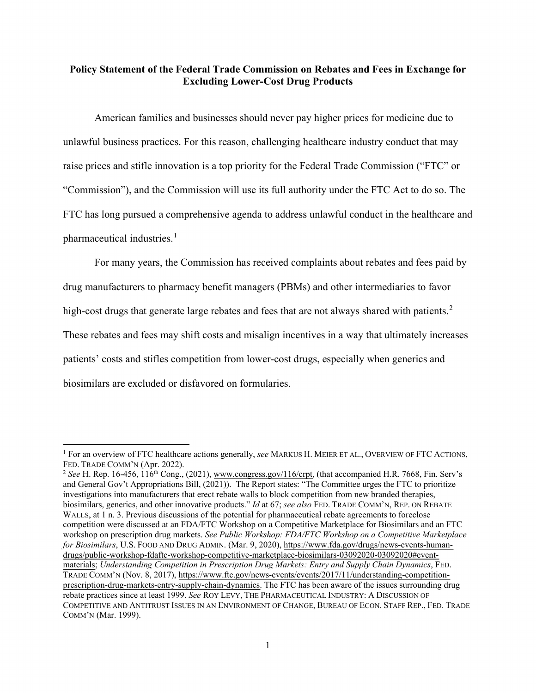## **Policy Statement of the Federal Trade Commission on Rebates and Fees in Exchange for Excluding Lower-Cost Drug Products**

 unlawful business practices. For this reason, challenging healthcare industry conduct that may "Commission"), and the Commission will use its full authority under the FTC Act to do so. The American families and businesses should never pay higher prices for medicine due to raise prices and stifle innovation is a top priority for the Federal Trade Commission ("FTC" or FTC has long pursued a comprehensive agenda to address unlawful conduct in the healthcare and pharmaceutical industries.<sup>[1](#page-0-0)</sup>

<span id="page-0-2"></span>high-cost drugs that generate large rebates and fees that are not always shared with patients.<sup>[2](#page-0-1)</sup> patients' costs and stifles competition from lower-cost drugs, especially when generics and biosimilars are excluded or disfavored on formularies. biosimilars are excluded or disfavored on formularies. 1 For an overview of FTC healthcare actions generally, *see* MARKUS H. MEIER ET AL., OVERVIEW OF FTC ACTIONS, For many years, the Commission has received complaints about rebates and fees paid by drug manufacturers to pharmacy benefit managers (PBMs) and other intermediaries to favor These rebates and fees may shift costs and misalign incentives in a way that ultimately increases

<span id="page-0-0"></span>FED. TRADE COMM'N (Apr. 2022). FED. TRADE COMM'N (Apr. 2022).<br><sup>2</sup> *See* H. Rep. 16-456, 116<sup>th</sup> Cong., (2021), <u>www.congress.gov/116/crpt</u>, (that accompanied H.R. 7668, Fin. Serv's

<span id="page-0-1"></span> and General Gov't Appropriations Bill, (2021)). The Report states: "The Committee urges the FTC to prioritize investigations into manufacturers that erect rebate walls to block competition from new branded therapies, biosimilars, generics, and other innovative products." *Id* at 67; *see also* FED. TRADE COMM'N, REP. ON REBATE WALLS, at 1 n. 3. Previous discussions of the potential for pharmaceutical rebate agreements to foreclose competition were discussed at an FDA/FTC Workshop on a Competitive Marketplace for Biosimilars and an FTC workshop on prescription drug markets. *See Public Workshop: FDA/FTC Workshop on a Competitive Marketplace for Biosimilars*, U.S. FOOD AND DRUG ADMIN. (Mar. 9, 2020), [https://www.fda.gov/drugs/news-events-human-](https://www.fda.gov/drugs/news-events-human-drugs/public-workshop-fdaftc-workshop-competitive-marketplace-biosimilars-03092020-03092020#event-materials) [materials;](https://www.fda.gov/drugs/news-events-human-drugs/public-workshop-fdaftc-workshop-competitive-marketplace-biosimilars-03092020-03092020#event-materials) *Understanding Competition in Prescription Drug Markets: Entry and Supply Chain Dynamics*, FED. TRADE COMM'N (Nov. 8, 2017), [https://www.ftc.gov/news-events/events/2017/11/understanding-competition](https://www.ftc.gov/news-events/events/2017/11/understanding-competition-prescription-drug-markets-entry-supply-chain-dynamics)[prescription-drug-markets-entry-supply-chain-dynamics.](https://www.ftc.gov/news-events/events/2017/11/understanding-competition-prescription-drug-markets-entry-supply-chain-dynamics) The FTC has been aware of the issues surrounding drug rebate practices since at least 1999. *See* ROY LEVY, THE PHARMACEUTICAL INDUSTRY: A DISCUSSION OF COMPETITIVE AND ANTITRUST ISSUES IN AN ENVIRONMENT OF CHANGE, BUREAU OF ECON. STAFF REP., FED. TRADE [drugs/public-workshop-fdaftc-workshop-competitive-marketplace-biosimilars-03092020-03092020#event-](https://www.fda.gov/drugs/news-events-human-drugs/public-workshop-fdaftc-workshop-competitive-marketplace-biosimilars-03092020-03092020#event-materials)COMM'N (Mar. 1999).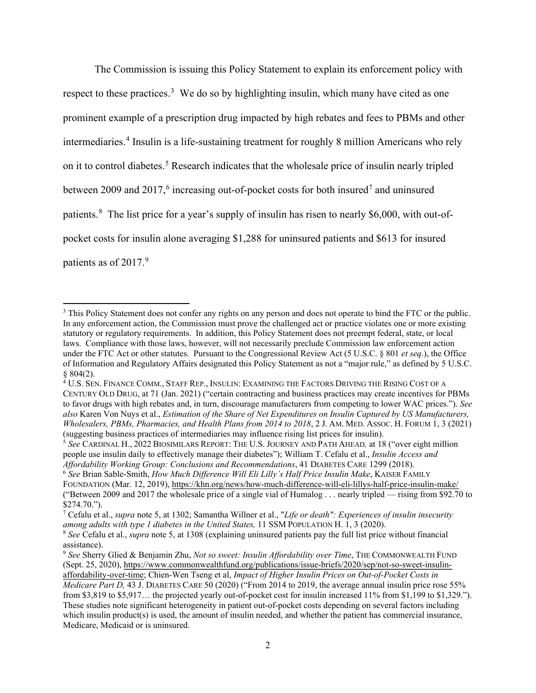<span id="page-1-9"></span><span id="page-1-8"></span><span id="page-1-0"></span>respect to these practices.<sup>[3](#page-1-1)</sup> We do so by highlighting insulin, which many have cited as one intermediaries. [4](#page-1-2) Insulin is a life-sustaining treatment for roughly 8 million Americans who rely between 2009 and 201[7](#page-1-5),<sup>6</sup> increasing out-of-pocket costs for both insured<sup>7</sup> and uninsured The Commission is issuing this Policy Statement to explain its enforcement policy with prominent example of a prescription drug impacted by high rebates and fees to PBMs and other on it to control diabetes.<sup>5</sup> Research indicates that the wholesale price of insulin nearly tripled patients.<sup>[8](#page-1-6)</sup> The list price for a year's supply of insulin has risen to nearly \$6,000, with out-ofpocket costs for insulin alone averaging \$1,288 for uninsured patients and \$613 for insured patients as of 2017.<sup>9</sup>

<span id="page-1-1"></span><sup>&</sup>lt;sup>3</sup> This Policy Statement does not confer any rights on any person and does not operate to bind the FTC or the public. In any enforcement action, the Commission must prove the challenged act or practice violates one or more existing statutory or regulatory requirements. In addition, this Policy Statement does not preempt federal, state, or local laws. Compliance with those laws, however, will not necessarily preclude Commission law enforcement action under the FTC Act or other statutes. Pursuant to the Congressional Review Act (5 U.S.C. § 801 *et seq*.), the Office of Information and Regulatory Affairs designated this Policy Statement as not a "major rule," as defined by 5 U.S.C.  $§ 804(2).$ 

<span id="page-1-2"></span> CENTURY OLD DRUG, at 71 (Jan. 2021) ("certain contracting and business practices may create incentives for PBMs to favor drugs with high rebates and, in turn, discourage manufacturers from competing to lower WAC prices."). *See also* Karen Von Nuys et al., *Estimation of the Share of Net Expenditures on Insulin Captured by US Manufacturers, Wholesalers, PBMs, Pharmacies, and Health Plans from 2014 to 2018*, 2 J. AM. MED. ASSOC. H. FORUM 1, 3 (2021) (suggesting business practices of intermediaries may influence rising list prices for insulin). <sup>4</sup> U.S. SEN. FINANCE COMM., STAFF REP., INSULIN: EXAMINING THE FACTORS DRIVING THE RISING COST OF A

<span id="page-1-3"></span> (suggesting business practices of intermediaries may influence rising list prices for insulin). 5 *See* CARDINAL H., 2022 BIOSIMILARS REPORT: THE U.S. JOURNEY AND PATH AHEAD*,* at 18 ("over eight million people use insulin daily to effectively manage their diabetes"); William T. Cefalu et al., *Insulin Access and*  Affordability Working Group: Conclusions and Recommendations, 41 DIABETES CARE 1299 (2018).

<span id="page-1-4"></span> *Affordability Working Group: Conclusions and Recommendations*, 41 DIABETES CARE 1299 (2018). 6 *See* Brian Sable-Smith, *How Much Difference Will Eli Lilly's Half Price Insulin Make*, KAISER FAMILY FOUNDATION (Mar. 12, 2019),<https://khn.org/news/how-much-difference-will-eli-lillys-half-price-insulin-make/> ("Between 2009 and 2017 the wholesale price of a single vial of Humalog . . . nearly tripled — rising from \$92.70 to

<span id="page-1-5"></span> \$274.70."). 7 Cefalu et al., *supra* note [5,](#page-1-0) at 1302; Samantha Willner et al., "*Life or death": Experiences of insulin insecurity among adults with type 1 diabetes in the United States, 11 SSM POPULATION H. 1, 3 (2020).* 

<span id="page-1-6"></span>among adults with type 1 diabetes in the United States, 11 SSM POPULATION H. 1, 3 (2020).<br><sup>8</sup> See Cefalu et al., *supra* not[e 5,](#page-1-0) at 1308 (explaining uninsured patients pay the full list price without financial assistance).<br><sup>9</sup> *See* Sherry Glied & Benjamin Zhu, *Not so sweet: Insulin Affordability over Time*, THE COMMONWEALTH FUND

<span id="page-1-7"></span> (Sept. 25, 2020), [https://www.commonwealthfund.org/publications/issue-briefs/2020/sep/not-so-sweet-insulin-](https://www.commonwealthfund.org/publications/issue-briefs/2020/sep/not-so-sweet-insulin-affordability-over-time) [affordability-over-time;](https://www.commonwealthfund.org/publications/issue-briefs/2020/sep/not-so-sweet-insulin-affordability-over-time) Chien-Wen Tseng et al, *Impact of Higher Insulin Prices on Out-of-Pocket Costs in Medicare Part D,* 43 J. DIABETES CARE 50 (2020) ("From 2014 to 2019, the average annual insulin price rose 55% from \$3,819 to \$5,917… the projected yearly out-of-pocket cost for insulin increased 11% from \$1,199 to \$1,329."). These studies note significant heterogeneity in patient out-of-pocket costs depending on several factors including which insulin product(s) is used, the amount of insulin needed, and whether the patient has commercial insurance, Medicare, Medicaid or is uninsured.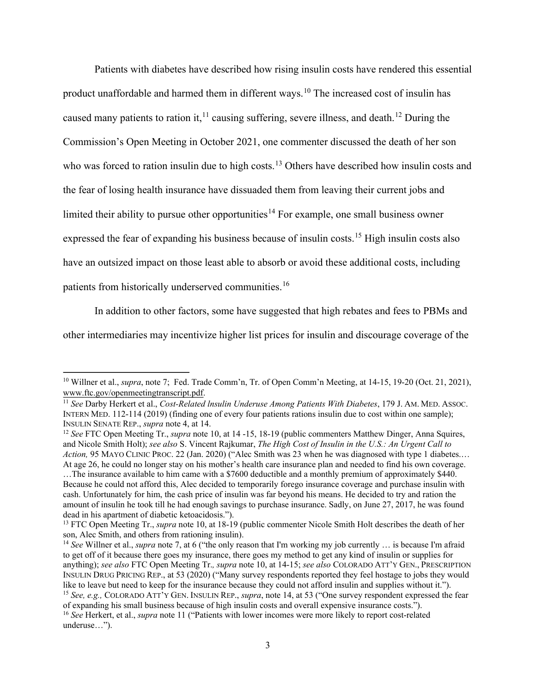<span id="page-2-2"></span><span id="page-2-0"></span>product unaffordable and harmed them in different ways.<sup>[10](#page-2-3)</sup> The increased cost of insulin has caused many patients to ration it,  $11$  causing suffering, severe illness, and death.<sup>[12](#page-2-5)</sup> During the limited their ability to pursue other opportunities<sup>14</sup> For example, one small business owner expressed the fear of expanding his business because of insulin costs.<sup>[15](#page-2-8)</sup> High insulin costs also patients from historically underserved communities.<sup>16</sup> Patients with diabetes have described how rising insulin costs have rendered this essential Commission's Open Meeting in October 2021, one commenter discussed the death of her son who was forced to ration insulin due to high costs.<sup>13</sup> Others have described how insulin costs and the fear of losing health insurance have dissuaded them from leaving their current jobs and have an outsized impact on those least able to absorb or avoid these additional costs, including

<span id="page-2-1"></span>In addition to other factors, some have suggested that high rebates and fees to PBMs and

other intermediaries may incentivize higher list prices for insulin and discourage coverage of the

<span id="page-2-3"></span> 10 Willner et al., *supra*, note [7;](#page-1-8) Fed. Trade Comm'n, Tr. of Open Comm'n Meeting, at 14-15, 19-20 (Oct. 21, 2021),

<span id="page-2-4"></span>[www.ftc.gov/openmeetingtranscript.pdf.](http://www.ftc.gov/openmeetingtranscript.pdf)<br><sup>11</sup> See Darby Herkert et al., *Cost-Related Insulin Underuse Among Patients With Diabetes*, 179 J. AM. MED. Assoc. INTERN MED. 112-114 (2019) (finding one of every four patients rations insulin due to cost within one sample); INSULIN SENATE REP., *supra* note 4, at 14.

<span id="page-2-5"></span>INSULIN SENATE REP., *supra* note [4,](#page-1-9) at 14.<br><sup>12</sup> *See* FTC Open Meeting Tr., *supra* note 10, at 14 -15, 18-19 (public commenters Matthew Dinger, Anna Squires, and Nicole Smith Holt); *see also* S. Vincent Rajkumar, *The High Cost of Insulin in the U.S.: An Urgent Call to Action,* 95 MAYO CLINIC PROC. 22 (Jan. 2020) ("Alec Smith was 23 when he was diagnosed with type 1 diabetes.… At age 26, he could no longer stay on his mother's health care insurance plan and needed to find his own coverage.

 …The insurance available to him came with a \$7600 deductible and a monthly premium of approximately \$440. Because he could not afford this, Alec decided to temporarily forego insurance coverage and purchase insulin with cash. Unfortunately for him, the cash price of insulin was far beyond his means. He decided to try and ration the amount of insulin he took till he had enough savings to purchase insurance. Sadly, on June 27, 2017, he was found dead in his apartment of diabetic ketoacidosis."). dead in his apartment of diabetic ketoacidosis.").<br><sup>13</sup> FTC Open Meeting Tr., *supra* note 10, at 18-19 (public commenter Nicole Smith Holt describes the death of her

<span id="page-2-6"></span>son, Alec Smith, and others from rationing insulin). son, Alec Smith, and others from rationing insulin).<br><sup>14</sup> *See* Willner et al., *supra* note [7,](#page-1-8) at 6 ("the only reason that I'm working my job currently … is because I'm afraid

<span id="page-2-7"></span> to get off of it because there goes my insurance, there goes my method to get any kind of insulin or supplies for  anything); *see also* FTC Open Meeting Tr.*, supra* note [10,](#page-2-0) at 14-15; *see also* COLORADO ATT'Y GEN., PRESCRIPTION INSULIN DRUG PRICING REP., at 53 (2020) ("Many survey respondents reported they feel hostage to jobs they would like to leave but need to keep for the insurance because they could not afford insulin and supplies without it."). like to leave but need to keep for the insurance because they could not afford insulin and supplies without it.").<br><sup>15</sup> See, e.g., COLORADO ATT'Y GEN. INSULIN REP., *supra*, note [14,](#page-2-1) at 53 ("One survey respondent expressed of expanding his small business because of high insulin costs and overall expensive insurance costs."). of expanding his small business because of high insulin costs and overall expensive insurance costs.").<br><sup>16</sup> See Herkert, et al., *supra* note [11 \(](#page-2-2)"Patients with lower incomes were more likely to report cost-related

<span id="page-2-9"></span><span id="page-2-8"></span>underuse…").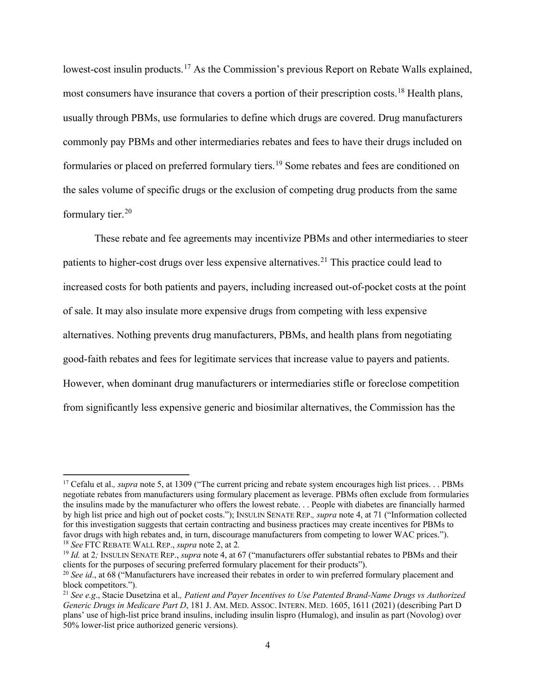formularies or placed on preferred formulary tiers.<sup>19</sup> Some rebates and fees are conditioned on formulary tier.<sup>20</sup> lowest-cost insulin products.<sup>[17](#page-3-0)</sup> As the Commission's previous Report on Rebate Walls explained, most consumers have insurance that covers a portion of their prescription costs.<sup>[18](#page-3-1)</sup> Health plans, usually through PBMs, use formularies to define which drugs are covered. Drug manufacturers commonly pay PBMs and other intermediaries rebates and fees to have their drugs included on the sales volume of specific drugs or the exclusion of competing drug products from the same

These rebate and fee agreements may incentivize PBMs and other intermediaries to steer patients to higher-cost drugs over less expensive alternatives.<sup>[21](#page-3-4)</sup> This practice could lead to increased costs for both patients and payers, including increased out-of-pocket costs at the point of sale. It may also insulate more expensive drugs from competing with less expensive alternatives. Nothing prevents drug manufacturers, PBMs, and health plans from negotiating good-faith rebates and fees for legitimate services that increase value to payers and patients. However, when dominant drug manufacturers or intermediaries stifle or foreclose competition from significantly less expensive generic and biosimilar alternatives, the Commission has the

<span id="page-3-0"></span><sup>&</sup>lt;sup>17</sup> Cefalu et al., *supra* not[e 5,](#page-1-0) at 1309 ("The current pricing and rebate system encourages high list prices... PBMs negotiate rebates from manufacturers using formulary placement as leverage. PBMs often exclude from formularies the insulins made by the manufacturer who offers the lowest rebate. . . People with diabetes are financially harmed by high list price and high out of pocket costs."); INSULIN SENATE REP.*, supra* note [4,](#page-1-9) at 71 ("Information collected for this investigation suggests that certain contracting and business practices may create incentives for PBMs to favor drugs with high rebates and, in turn, discourage manufacturers from competing to lower WAC prices."). 18 *See* FTC REBATE WALL REP., *supra* note [2,](#page-0-2) at 2*.* <sup>18</sup> See FTC REBATE WALL REP., supra note 2, at 2.

<span id="page-3-2"></span><span id="page-3-1"></span> <sup>19</sup>*Id.* at 2*;* INSULIN SENATE REP., *supra* note [4,](#page-1-9) at 67 ("manufacturers offer substantial rebates to PBMs and their clients for the purposes of securing preferred formulary placement for their products"). clients for the purposes of securing preferred formulary placement for their products").<br><sup>20</sup> *See id.*, at 68 ("Manufacturers have increased their rebates in order to win preferred formulary placement and

<span id="page-3-3"></span>

<span id="page-3-4"></span>block competitors.").<br><sup>21</sup> *See e.g.*, Stacie Dusetzina et al., *Patient and Payer Incentives to Use Patented Brand-Name Drugs vs Authorized Generic Drugs in Medicare Part D*, 181 J. AM. MED. ASSOC. INTERN. MED. 1605, 1611 (2021) (describing Part D plans' use of high-list price brand insulins, including insulin lispro (Humalog), and insulin as part (Novolog) over 50% lower-list price authorized generic versions).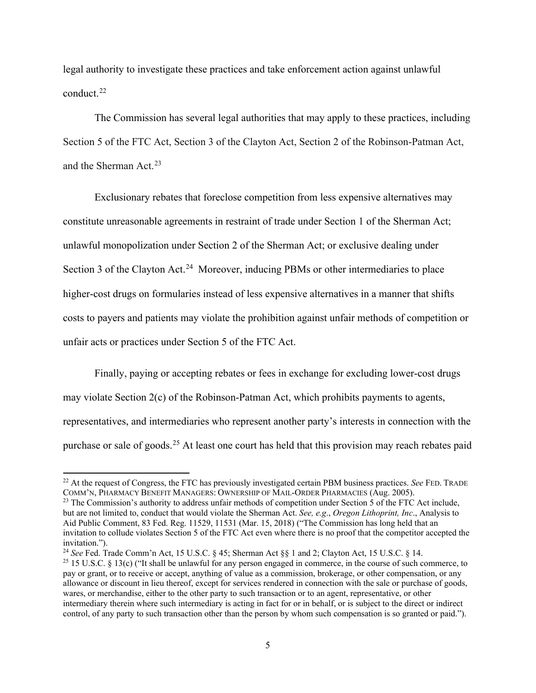conduct. $22$ legal authority to investigate these practices and take enforcement action against unlawful

 and the Sherman Act. [23](#page-4-1)  The Commission has several legal authorities that may apply to these practices, including Section 5 of the FTC Act, Section 3 of the Clayton Act, Section 2 of the Robinson-Patman Act,

 constitute unreasonable agreements in restraint of trade under Section 1 of the Sherman Act; Section 3 of the Clayton Act.<sup>24</sup> Moreover, inducing PBMs or other intermediaries to place higher-cost drugs on formularies instead of less expensive alternatives in a manner that shifts Exclusionary rebates that foreclose competition from less expensive alternatives may unlawful monopolization under Section 2 of the Sherman Act; or exclusive dealing under costs to payers and patients may violate the prohibition against unfair methods of competition or unfair acts or practices under Section 5 of the FTC Act.

 may violate Section 2(c) of the Robinson-Patman Act, which prohibits payments to agents, Finally, paying or accepting rebates or fees in exchange for excluding lower-cost drugs representatives, and intermediaries who represent another party's interests in connection with the purchase or sale of goods.<sup>25</sup> At least one court has held that this provision may reach rebates paid

<span id="page-4-0"></span> 22 At the request of Congress, the FTC has previously investigated certain PBM business practices. *See* FED. TRADE COMM'N, PHARMACY BENEFIT MANAGERS: OWNERSHIP OF MAIL-ORDER PHARMACIES (Aug. 2005).<br><sup>23</sup> The Commission's authority to address unfair methods of competition under Section 5 of the FTC Act include,

<span id="page-4-1"></span> but are not limited to, conduct that would violate the Sherman Act. *See, e.g*., *Oregon Lithoprint, Inc*., Analysis to Aid Public Comment, 83 Fed. Reg. 11529, 11531 (Mar. 15, 2018) ("The Commission has long held that an invitation to collude violates Section 5 of the FTC Act even where there is no proof that the competitor accepted the invitation.").

<span id="page-4-3"></span><span id="page-4-2"></span><sup>&</sup>lt;sup>24</sup> See Fed. Trade Comm'n Act, 15 U.S.C. § 45; Sherman Act §§ 1 and 2; Clayton Act, 15 U.S.C. § 14.

<sup>&</sup>lt;sup>24</sup> See Fed. Trade Comm'n Act, 15 U.S.C. § 45; Sherman Act §§ 1 and 2; Clayton Act, 15 U.S.C. § 14.<br><sup>25</sup> 15 U.S.C. § 13(c) ("It shall be unlawful for any person engaged in commerce, in the course of such commerce, to pay or grant, or to receive or accept, anything of value as a commission, brokerage, or other compensation, or any allowance or discount in lieu thereof, except for services rendered in connection with the sale or purchase of goods, wares, or merchandise, either to the other party to such transaction or to an agent, representative, or other intermediary therein where such intermediary is acting in fact for or in behalf, or is subject to the direct or indirect control, of any party to such transaction other than the person by whom such compensation is so granted or paid.").